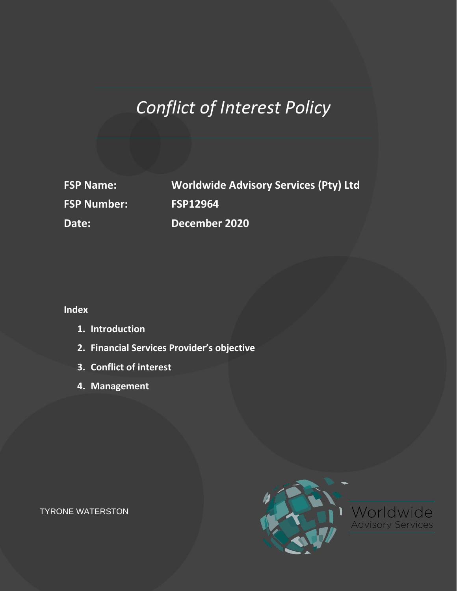# *Conflict of Interest Policy*

**FSP Number: FSP12964**

**FSP Name: Worldwide Advisory Services (Pty) Ltd Date: December 2020**

**Index**

- **1. Introduction**
- **2. Financial Services Provider's objective**
- **3. Conflict of interest**
- **4. Management**



TYRONE WATERSTON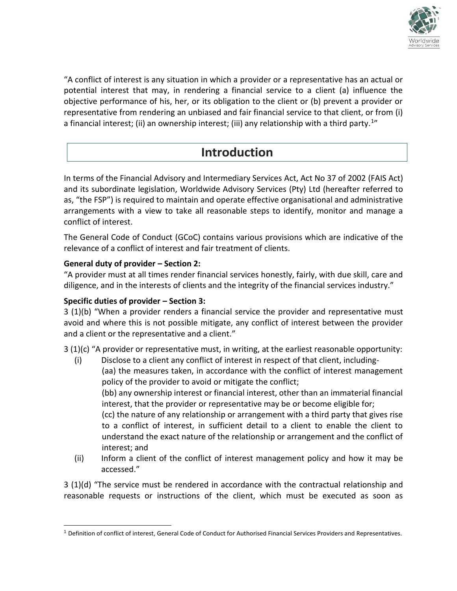

"A conflict of interest is any situation in which a provider or a representative has an actual or potential interest that may, in rendering a financial service to a client (a) influence the objective performance of his, her, or its obligation to the client or (b) prevent a provider or representative from rendering an unbiased and fair financial service to that client, or from (i) a financial interest; (ii) an ownership interest; (iii) any relationship with a third party.<sup>1</sup>"

### **Introduction**

In terms of the Financial Advisory and Intermediary Services Act, Act No 37 of 2002 (FAIS Act) and its subordinate legislation, Worldwide Advisory Services (Pty) Ltd (hereafter referred to as, "the FSP") is required to maintain and operate effective organisational and administrative arrangements with a view to take all reasonable steps to identify, monitor and manage a conflict of interest.

The General Code of Conduct (GCoC) contains various provisions which are indicative of the relevance of a conflict of interest and fair treatment of clients.

#### **General duty of provider – Section 2:**

"A provider must at all times render financial services honestly, fairly, with due skill, care and diligence, and in the interests of clients and the integrity of the financial services industry."

#### **Specific duties of provider – Section 3:**

3 (1)(b) "When a provider renders a financial service the provider and representative must avoid and where this is not possible mitigate, any conflict of interest between the provider and a client or the representative and a client."

 $3(1)(c)$  "A provider or representative must, in writing, at the earliest reasonable opportunity:

(i) Disclose to a client any conflict of interest in respect of that client, including-

(aa) the measures taken, in accordance with the conflict of interest management policy of the provider to avoid or mitigate the conflict;

(bb) any ownership interest or financial interest, other than an immaterial financial interest, that the provider or representative may be or become eligible for;

(cc) the nature of any relationship or arrangement with a third party that gives rise to a conflict of interest, in sufficient detail to a client to enable the client to understand the exact nature of the relationship or arrangement and the conflict of interest; and

(ii) Inform a client of the conflict of interest management policy and how it may be accessed."

3 (1)(d) "The service must be rendered in accordance with the contractual relationship and reasonable requests or instructions of the client, which must be executed as soon as

<sup>1</sup> Definition of conflict of interest, General Code of Conduct for Authorised Financial Services Providers and Representatives.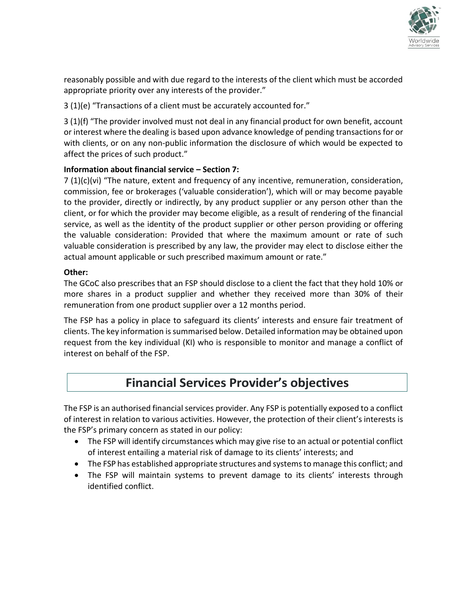

reasonably possible and with due regard to the interests of the client which must be accorded appropriate priority over any interests of the provider."

3 (1)(e) "Transactions of a client must be accurately accounted for."

3 (1)(f) "The provider involved must not deal in any financial product for own benefit, account or interest where the dealing is based upon advance knowledge of pending transactions for or with clients, or on any non-public information the disclosure of which would be expected to affect the prices of such product."

#### **Information about financial service – Section 7:**

7 (1)(c)(vi) "The nature, extent and frequency of any incentive, remuneration, consideration, commission, fee or brokerages ('valuable consideration'), which will or may become payable to the provider, directly or indirectly, by any product supplier or any person other than the client, or for which the provider may become eligible, as a result of rendering of the financial service, as well as the identity of the product supplier or other person providing or offering the valuable consideration: Provided that where the maximum amount or rate of such valuable consideration is prescribed by any law, the provider may elect to disclose either the actual amount applicable or such prescribed maximum amount or rate."

#### **Other:**

The GCoC also prescribes that an FSP should disclose to a client the fact that they hold 10% or more shares in a product supplier and whether they received more than 30% of their remuneration from one product supplier over a 12 months period.

The FSP has a policy in place to safeguard its clients' interests and ensure fair treatment of clients. The key information is summarised below. Detailed information may be obtained upon request from the key individual (KI) who is responsible to monitor and manage a conflict of interest on behalf of the FSP.

### **Financial Services Provider's objectives**

The FSP is an authorised financial services provider. Any FSP is potentially exposed to a conflict of interest in relation to various activities. However, the protection of their client's interests is the FSP's primary concern as stated in our policy:

- The FSP will identify circumstances which may give rise to an actual or potential conflict of interest entailing a material risk of damage to its clients' interests; and
- The FSP has established appropriate structures and systems to manage this conflict; and
- The FSP will maintain systems to prevent damage to its clients' interests through identified conflict.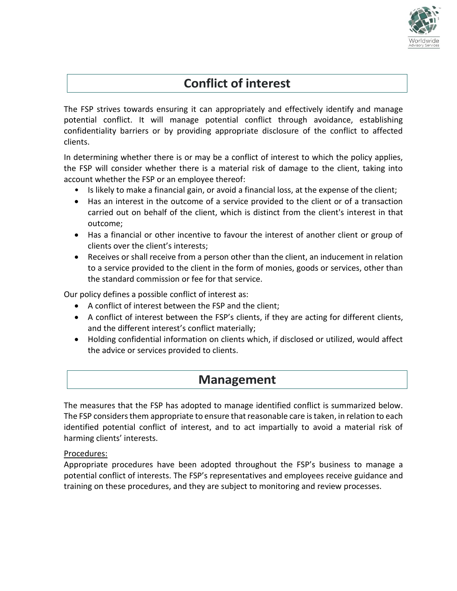

## **Conflict of interest**

The FSP strives towards ensuring it can appropriately and effectively identify and manage potential conflict. It will manage potential conflict through avoidance, establishing confidentiality barriers or by providing appropriate disclosure of the conflict to affected clients.

In determining whether there is or may be a conflict of interest to which the policy applies, the FSP will consider whether there is a material risk of damage to the client, taking into account whether the FSP or an employee thereof:

- Is likely to make a financial gain, or avoid a financial loss, at the expense of the client;
- Has an interest in the outcome of a service provided to the client or of a transaction carried out on behalf of the client, which is distinct from the client's interest in that outcome;
- Has a financial or other incentive to favour the interest of another client or group of clients over the client's interests;
- Receives or shall receive from a person other than the client, an inducement in relation to a service provided to the client in the form of monies, goods or services, other than the standard commission or fee for that service.

Our policy defines a possible conflict of interest as:

- A conflict of interest between the FSP and the client;
- A conflict of interest between the FSP's clients, if they are acting for different clients, and the different interest's conflict materially;
- Holding confidential information on clients which, if disclosed or utilized, would affect the advice or services provided to clients.

### **Management**

The measures that the FSP has adopted to manage identified conflict is summarized below. The FSP considers them appropriate to ensure that reasonable care is taken, in relation to each identified potential conflict of interest, and to act impartially to avoid a material risk of harming clients' interests.

#### Procedures:

Appropriate procedures have been adopted throughout the FSP's business to manage a potential conflict of interests. The FSP's representatives and employees receive guidance and training on these procedures, and they are subject to monitoring and review processes.